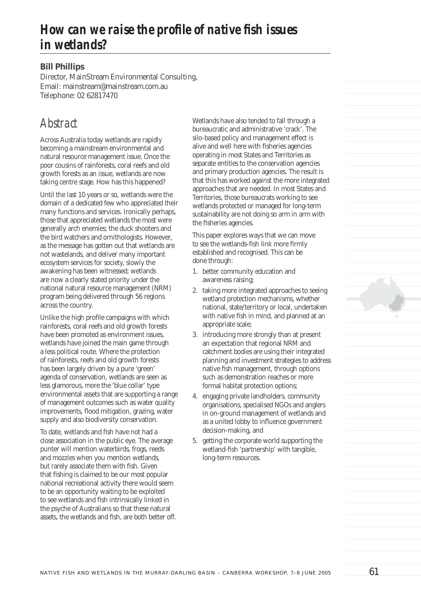# **How can we raise the profile of native fish issues** *in wetlands?*

#### **Bill Phillips**

Director, MainStream Environmental Consulting, Email: mainstream@mainstream.com.au Telephone: 02 62817470

# *Abstract*

Across Australia today wetlands are rapidly becoming a mainstream environmental and natural resource management issue. Once the poor cousins of rainforests, coral reefs and old growth forests as an issue, wetlands are now taking centre stage. How has this happened?

Until the last 10 years or so, wetlands were the domain of a dedicated few who appreciated their many functions and services. Ironically perhaps, those that appreciated wetlands the most were generally arch enemies; the duck shooters and the bird watchers and ornithologists. However, as the message has gotten out that wetlands are not wastelands, and deliver many important ecosystem services for society, slowly the awakening has been witnessed; wetlands are now a clearly stated priority under the national natural resource management (NRM) program being delivered through 56 regions across the country.

Unlike the high profile campaigns with which rainforests, coral reefs and old growth forests have been promoted as environment issues, wetlands have joined the main game through a less political route. Where the protection of rainforests, reefs and old growth forests has been largely driven by a pure 'green' agenda of conservation, wetlands are seen as less glamorous, more the 'blue collar' type environmental assets that are supporting a range of management outcomes such as water quality improvements, flood mitigation, grazing, water supply and also biodiversity conservation.

To date, wetlands and fish have not had a close association in the public eye. The average punter will mention waterbirds, frogs, reeds and mozzies when you mention wetlands, but rarely associate them with fish. Given that fishing is claimed to be our most popular national recreational activity there would seem to be an opportunity waiting to be exploited to see wetlands and fish intrinsically linked in the psyche of Australians so that these natural assets, the wetlands and fish, are both better off. Wetlands have also tended to fall through a bureaucratic and administrative 'crack'. The silo-based policy and management effect is alive and well here with fisheries agencies operating in most States and Territories as separate entities to the conservation agencies and primary production agencies. The result is that this has worked against the more integrated approaches that are needed. In most States and Territories, those bureaucrats working to see wetlands protected or managed for long-term sustainability are not doing so arm in arm with the fisheries agencies.

This paper explores ways that we can move to see the wetlands-fish link more firmly established and recognised. This can be done through:

- 1. better community education and awareness raising;
- 2. taking more integrated approaches to seeing wetland protection mechanisms, whether national, state/territory or local, undertaken with native fish in mind, and planned at an appropriate scale;
- 3. introducing more strongly than at present an expectation that regional NRM and catchment bodies are using their integrated planning and investment strategies to address native fish management, through options such as demonstration reaches or more formal habitat protection options;
- 4. engaging private landholders, community organisations, specialised NGOs and anglers in on-ground management of wetlands and as a united lobby to influence government decision-making, and
- 5. getting the corporate world supporting the wetland-fish 'partnership' with tangible, long-term resources.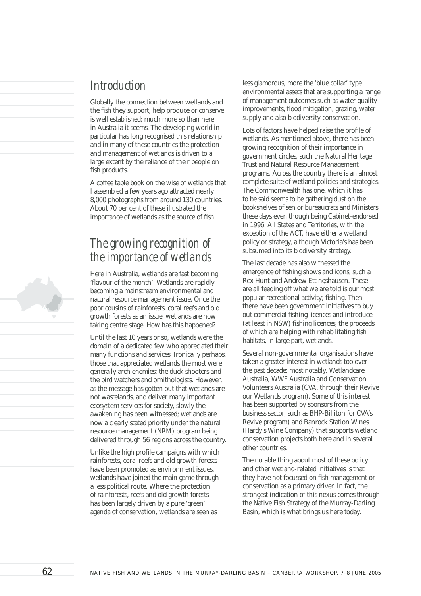### *Introduction*

Globally the connection between wetlands and the fish they support, help produce or conserve is well established; much more so than here in Australia it seems. The developing world in particular has long recognised this relationship and in many of these countries the protection and management of wetlands is driven to a large extent by the reliance of their people on fish products.

A coffee table book on the wise of wetlands that I assembled a few years ago attracted nearly 8,000 photographs from around 130 countries. About 70 per cent of these illustrated the importance of wetlands as the source of fish.

## *The growing recognition of the importance of wetlands*

Here in Australia, wetlands are fast becoming 'flavour of the month'. Wetlands are rapidly becoming a mainstream environmental and natural resource management issue. Once the poor cousins of rainforests, coral reefs and old growth forests as an issue, wetlands are now taking centre stage. How has this happened?

Until the last 10 years or so, wetlands were the domain of a dedicated few who appreciated their many functions and services. Ironically perhaps, those that appreciated wetlands the most were generally arch enemies; the duck shooters and the bird watchers and ornithologists. However, as the message has gotten out that wetlands are not wastelands, and deliver many important ecosystem services for society, slowly the awakening has been witnessed; wetlands are now a clearly stated priority under the natural resource management (NRM) program being delivered through 56 regions across the country.

Unlike the high profile campaigns with which rainforests, coral reefs and old growth forests have been promoted as environment issues, wetlands have joined the main game through a less political route. Where the protection of rainforests, reefs and old growth forests has been largely driven by a pure 'green' agenda of conservation, wetlands are seen as

less glamorous, more the 'blue collar' type environmental assets that are supporting a range of management outcomes such as water quality improvements, flood mitigation, grazing, water supply and also biodiversity conservation.

Lots of factors have helped raise the profile of wetlands. As mentioned above, there has been growing recognition of their importance in government circles, such the Natural Heritage Trust and Natural Resource Management programs. Across the country there is an almost complete suite of wetland policies and strategies. The Commonwealth has one, which it has to be said seems to be gathering dust on the bookshelves of senior bureaucrats and Ministers these days even though being Cabinet-endorsed in 1996. All States and Territories, with the exception of the ACT, have either a wetland policy or strategy, although Victoria's has been subsumed into its biodiversity strategy.

The last decade has also witnessed the emergence of fishing shows and icons; such a Rex Hunt and Andrew Ettingshausen. These are all feeding off what we are told is our most popular recreational activity; fishing. Then there have been government initiatives to buy out commercial fishing licences and introduce (at least in NSW) fishing licences, the proceeds of which are helping with rehabilitating fish habitats, in large part, wetlands.

Several non-governmental organisations have taken a greater interest in wetlands too over the past decade; most notably, Wetlandcare Australia, WWF Australia and Conservation Volunteers Australia (CVA, through their Revive our Wetlands program). Some of this interest has been supported by sponsors from the business sector, such as BHP-Billiton for CVA's Revive program) and Banrock Station Wines (Hardy's Wine Company) that supports wetland conservation projects both here and in several other countries.

The notable thing about most of these policy and other wetland-related initiatives is that they have not focussed on fish management or conservation as a primary driver. In fact, the strongest indication of this nexus comes through the Native Fish Strategy of the Murray-Darling Basin, which is what brings us here today.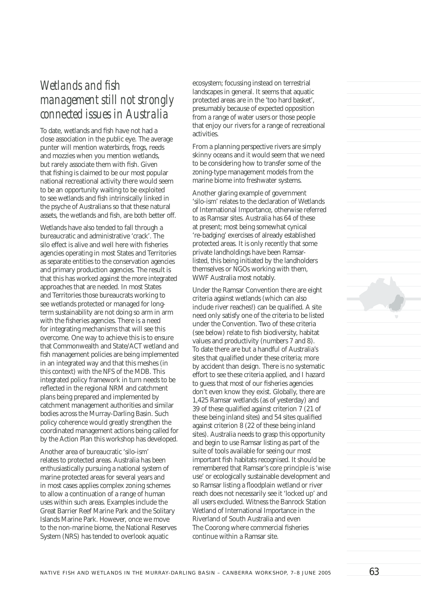## *Wetlands and fish management still not strongly connected issues in Australia*

To date, wetlands and fish have not had a close association in the public eye. The average punter will mention waterbirds, frogs, reeds and mozzies when you mention wetlands, but rarely associate them with fish. Given that fishing is claimed to be our most popular national recreational activity there would seem to be an opportunity waiting to be exploited to see wetlands and fish intrinsically linked in the psyche of Australians so that these natural assets, the wetlands and fish, are both better off.

Wetlands have also tended to fall through a bureaucratic and administrative 'crack'. The silo effect is alive and well here with fisheries agencies operating in most States and Territories as separate entities to the conservation agencies and primary production agencies. The result is that this has worked against the more integrated approaches that are needed. In most States and Territories those bureaucrats working to see wetlands protected or managed for longterm sustainability are not doing so arm in arm with the fisheries agencies. There is a need for integrating mechanisms that will see this overcome. One way to achieve this is to ensure that Commonwealth and State/ACT wetland and fish management policies are being implemented in an integrated way and that this meshes (in this context) with the NFS of the MDB. This integrated policy framework in turn needs to be reflected in the regional NRM and catchment plans being prepared and implemented by catchment management authorities and similar bodies across the Murray-Darling Basin. Such policy coherence would greatly strengthen the coordinated management actions being called for by the Action Plan this workshop has developed.

Another area of bureaucratic 'silo-ism' relates to protected areas. Australia has been enthusiastically pursuing a national system of marine protected areas for several years and in most cases applies complex zoning schemes to allow a continuation of a range of human uses within such areas. Examples include the Great Barrier Reef Marine Park and the Solitary Islands Marine Park. However, once we move to the non-marine biome, the National Reserves System (NRS) has tended to overlook aquatic

ecosystem; focussing instead on terrestrial landscapes in general. It seems that aquatic protected areas are in the 'too hard basket', presumably because of expected opposition from a range of water users or those people that enjoy our rivers for a range of recreational activities.

From a planning perspective rivers are simply skinny oceans and it would seem that we need to be considering how to transfer some of the zoning-type management models from the marine biome into freshwater systems.

Another glaring example of government 'silo-ism' relates to the declaration of Wetlands of International Importance, otherwise referred to as Ramsar sites. Australia has 64 of these at present; most being somewhat cynical 're-badging' exercises of already established protected areas. It is only recently that some private landholdings have been Ramsarlisted, this being initiated by the landholders themselves or NGOs working with them, WWF Australia most notably.

Under the Ramsar Convention there are eight criteria against wetlands (which can also include river reaches!) can be qualified. A site need only satisfy one of the criteria to be listed under the Convention. Two of these criteria (see below) relate to fish biodiversity, habitat values and productivity (numbers 7 and 8). To date there are but a handful of Australia's sites that qualified under these criteria; more by accident than design. There is no systematic effort to see these criteria applied, and I hazard to guess that most of our fisheries agencies don't even know they exist. Globally, there are 1,425 Ramsar wetlands (as of yesterday) and 39 of these qualified against criterion 7 (21 of these being inland sites) and 54 sites qualified against criterion 8 (22 of these being inland sites). Australia needs to grasp this opportunity and begin to use Ramsar listing as part of the suite of tools available for seeing our most important fish habitats recognised. It should be remembered that Ramsar's core principle is 'wise use' or ecologically sustainable development and so Ramsar listing a floodplain wetland or river reach does not necessarily see it 'locked up' and all users excluded. Witness the Banrock Station Wetland of International Importance in the Riverland of South Australia and even The Coorong where commercial fisheries continue within a Ramsar site.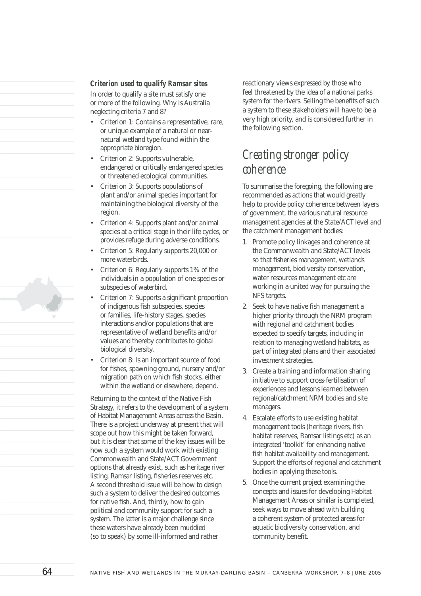#### *Criterion used to qualify Ramsar sites*

In order to qualify a site must satisfy one or more of the following. Why is Australia neglecting criteria 7 and 8?

- Criterion 1: Contains a representative, rare, or unique example of a natural or nearnatural wetland type found within the appropriate bioregion.
- Criterion 2: Supports vulnerable, endangered or critically endangered species or threatened ecological communities.
- Criterion 3: Supports populations of plant and/or animal species important for maintaining the biological diversity of the region.
- Criterion 4: Supports plant and/or animal species at a critical stage in their life cycles, or provides refuge during adverse conditions.
- Criterion 5: Regularly supports 20,000 or more waterbirds.
- Criterion 6: Regularly supports 1% of the individuals in a population of one species or subspecies of waterbird.
- Criterion 7: Supports a significant proportion of indigenous fish subspecies, species or families, life-history stages, species interactions and/or populations that are representative of wetland benefits and/or values and thereby contributes to global biological diversity.
- Criterion 8: Is an important source of food for fishes, spawning ground, nursery and/or migration path on which fish stocks, either within the wetland or elsewhere, depend.

Returning to the context of the Native Fish Strategy, it refers to the development of a system of Habitat Management Areas across the Basin. There is a project underway at present that will scope out how this might be taken forward, but it is clear that some of the key issues will be how such a system would work with existing Commonwealth and State/ACT Government options that already exist, such as heritage river listing, Ramsar listing, fisheries reserves etc. A second threshold issue will be how to design such a system to deliver the desired outcomes for native fish. And, thirdly, how to gain political and community support for such a system. The latter is a major challenge since these waters have already been muddied (so to speak) by some ill-informed and rather

reactionary views expressed by those who feel threatened by the idea of a national parks system for the rivers. Selling the benefits of such a system to these stakeholders will have to be a very high priority, and is considered further in the following section.

#### *Creating stronger policy coherence*

To summarise the foregoing, the following are recommended as actions that would greatly help to provide policy coherence between layers of government, the various natural resource management agencies at the State/ACT level and the catchment management bodies:

- 1. Promote policy linkages and coherence at the Commonwealth and State/ACT levels so that fisheries management, wetlands management, biodiversity conservation, water resources management etc are working in a united way for pursuing the NFS targets.
- 2. Seek to have native fish management a higher priority through the NRM program with regional and catchment bodies expected to specify targets, including in relation to managing wetland habitats, as part of integrated plans and their associated investment strategies.
- 3. Create a training and information sharing initiative to support cross-fertilisation of experiences and lessons learned between regional/catchment NRM bodies and site managers.
- 4. Escalate efforts to use existing habitat management tools (heritage rivers, fish habitat reserves, Ramsar listings etc) as an integrated 'toolkit' for enhancing native fish habitat availability and management. Support the efforts of regional and catchment bodies in applying these tools.
- 5. Once the current project examining the concepts and issues for developing Habitat Management Areas or similar is completed, seek ways to move ahead with building a coherent system of protected areas for aquatic biodiversity conservation, and community benefit.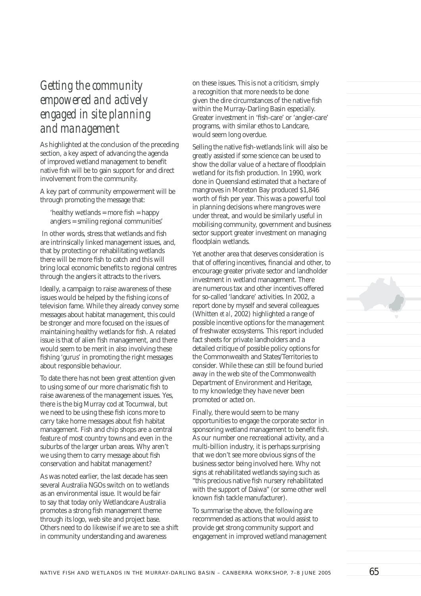## *Getting the community empowered and actively engaged in site planning and management*

As highlighted at the conclusion of the preceding section, a key aspect of advancing the agenda of improved wetland management to benefit native fish will be to gain support for and direct involvement from the community.

A key part of community empowerment will be through promoting the message that:

'healthy wetlands = more  $fish = happy$ anglers = smiling regional communities'

In other words, stress that wetlands and fish are intrinsically linked management issues, and, that by protecting or rehabilitating wetlands there will be more fish to catch and this will bring local economic benefits to regional centres through the anglers it attracts to the rivers.

Ideally, a campaign to raise awareness of these issues would be helped by the fishing icons of television fame. While they already convey some messages about habitat management, this could be stronger and more focused on the issues of maintaining healthy wetlands for fish. A related issue is that of alien fish management, and there would seem to be merit in also involving these fishing 'gurus' in promoting the right messages about responsible behaviour.

To date there has not been great attention given to using some of our more charismatic fish to raise awareness of the management issues. Yes, there is the big Murray cod at Tocumwal, but we need to be using these fish icons more to carry take home messages about fish habitat management. Fish and chip shops are a central feature of most country towns and even in the suburbs of the larger urban areas. Why aren't we using them to carry message about fish conservation and habitat management?

As was noted earlier, the last decade has seen several Australia NGOs switch on to wetlands as an environmental issue. It would be fair to say that today only Wetlandcare Australia promotes a strong fish management theme through its logo, web site and project base. Others need to do likewise if we are to see a shift in community understanding and awareness

on these issues. This is not a criticism, simply a recognition that more needs to be done given the dire circumstances of the native fish within the Murray-Darling Basin especially. Greater investment in 'fish-care' or 'angler-care' programs, with similar ethos to Landcare, would seem long overdue.

Selling the native fish-wetlands link will also be greatly assisted if some science can be used to show the dollar value of a hectare of floodplain wetland for its fish production. In 1990, work done in Queensland estimated that a hectare of mangroves in Moreton Bay produced \$1,846 worth of fish per year. This was a powerful tool in planning decisions where mangroves were under threat, and would be similarly useful in mobilising community, government and business sector support greater investment on managing floodplain wetlands.

Yet another area that deserves consideration is that of offering incentives, financial and other, to encourage greater private sector and landholder investment in wetland management. There are numerous tax and other incentives offered for so-called 'landcare' activities. In 2002, a report done by myself and several colleagues (Whitten *et al*, 2002) highlighted a range of possible incentive options for the management of freshwater ecosystems. This report included fact sheets for private landholders and a detailed critique of possible policy options for the Commonwealth and States/Territories to consider. While these can still be found buried away in the web site of the Commonwealth Department of Environment and Heritage, to my knowledge they have never been promoted or acted on.

Finally, there would seem to be many opportunities to engage the corporate sector in sponsoring wetland management to benefit fish. As our number one recreational activity, and a multi-billion industry, it is perhaps surprising that we don't see more obvious signs of the business sector being involved here. Why not signs at rehabilitated wetlands saying such as "this precious native fish nursery rehabilitated with the support of Daiwa" (or some other well known fish tackle manufacturer).

To summarise the above, the following are recommended as actions that would assist to provide get strong community support and engagement in improved wetland management